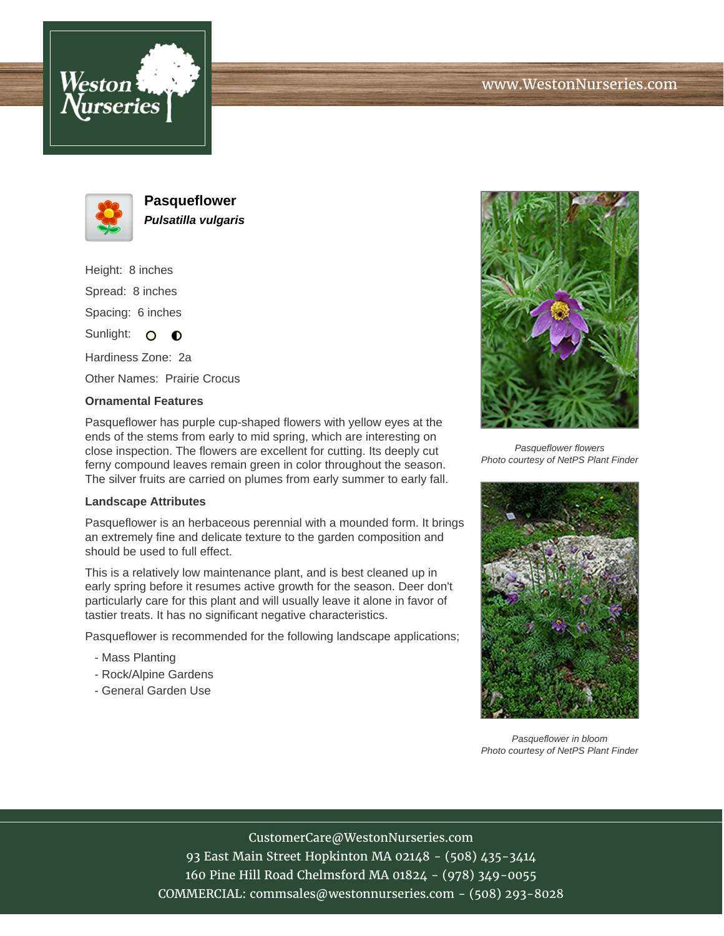



**Pasqueflower Pulsatilla vulgaris**

Height: 8 inches Spread: 8 inches Spacing: 6 inches Sunlight: O O

Hardiness Zone: 2a

Other Names: Prairie Crocus

## **Ornamental Features**

Pasqueflower has purple cup-shaped flowers with yellow eyes at the ends of the stems from early to mid spring, which are interesting on close inspection. The flowers are excellent for cutting. Its deeply cut ferny compound leaves remain green in color throughout the season. The silver fruits are carried on plumes from early summer to early fall.

## **Landscape Attributes**

Pasqueflower is an herbaceous perennial with a mounded form. It brings an extremely fine and delicate texture to the garden composition and should be used to full effect.

This is a relatively low maintenance plant, and is best cleaned up in early spring before it resumes active growth for the season. Deer don't particularly care for this plant and will usually leave it alone in favor of tastier treats. It has no significant negative characteristics.

Pasqueflower is recommended for the following landscape applications;

- Mass Planting
- Rock/Alpine Gardens
- General Garden Use



Pasqueflower flowers Photo courtesy of NetPS Plant Finder



Pasqueflower in bloom Photo courtesy of NetPS Plant Finder

## CustomerCare@WestonNurseries.com

93 East Main Street Hopkinton MA 02148 - (508) 435-3414 160 Pine Hill Road Chelmsford MA 01824 - (978) 349-0055 COMMERCIAL: commsales@westonnurseries.com - (508) 293-8028